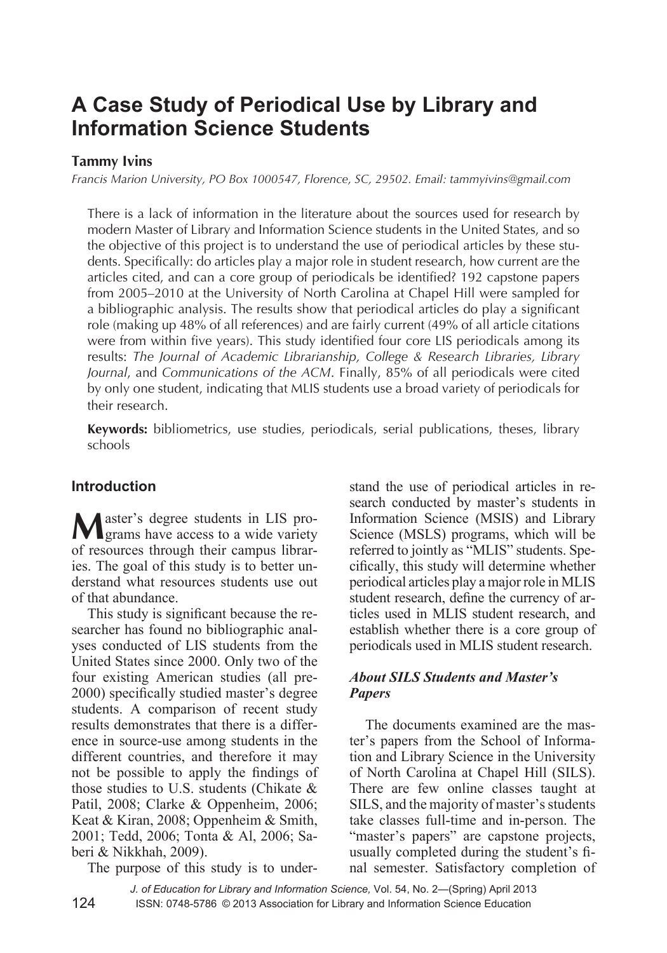# **A Case Study of Periodical Use by Library and Information Science Students**

# **Tammy Ivins**

*Francis Marion University, PO Box 1000547, Florence, SC, 29502. Email: tammyivins@gmail.com*

There is a lack of information in the literature about the sources used for research by modern Master of Library and Information Science students in the United States, and so the objective of this project is to understand the use of periodical articles by these students. Specifically: do articles play a major role in student research, how current are the articles cited, and can a core group of periodicals be identified? 192 capstone papers from 2005–2010 at the University of North Carolina at Chapel Hill were sampled for a bibliographic analysis. The results show that periodical articles do play a significant role (making up 48% of all references) and are fairly current (49% of all article citations were from within five years). This study identified four core LIS periodicals among its results: *The Journal of Academic Librarianship, College & Research Libraries, Library Journal*, and *Communications of the ACM*. Finally, 85% of all periodicals were cited by only one student, indicating that MLIS students use a broad variety of periodicals for their research.

**Keywords:** bibliometrics, use studies, periodicals, serial publications, theses, library schools

## **Introduction**

**M**aster's degree students in LIS programs have access to a wide variety of resources through their campus libraries. The goal of this study is to better understand what resources students use out of that abundance.

This study is significant because the researcher has found no bibliographic analyses conducted of LIS students from the United States since 2000. Only two of the four existing American studies (all pre-2000) specifically studied master's degree students. A comparison of recent study results demonstrates that there is a difference in source-use among students in the different countries, and therefore it may not be possible to apply the findings of those studies to U.S. students (Chikate & Patil, 2008; Clarke & Oppenheim, 2006; Keat & Kiran, 2008; Oppenheim & Smith, 2001; Tedd, 2006; Tonta & Al, 2006; Saberi & Nikkhah, 2009).

The purpose of this study is to under-

stand the use of periodical articles in research conducted by master's students in Information Science (MSIS) and Library Science (MSLS) programs, which will be referred to jointly as "MLIS" students. Specifically, this study will determine whether periodical articles play a major role in MLIS student research, define the currency of articles used in MLIS student research, and establish whether there is a core group of periodicals used in MLIS student research.

### *About SILS Students and Master's Papers*

The documents examined are the master's papers from the School of Information and Library Science in the University of North Carolina at Chapel Hill (SILS). There are few online classes taught at SILS, and the majority of master's students take classes full-time and in-person. The "master's papers" are capstone projects, usually completed during the student's final semester. Satisfactory completion of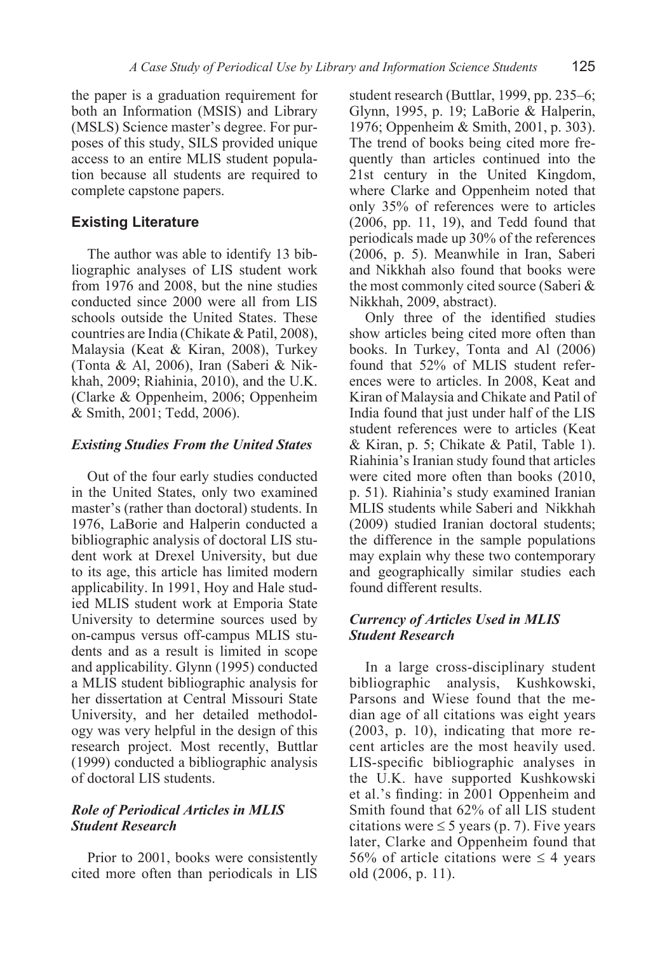the paper is a graduation requirement for both an Information (MSIS) and Library (MSLS) Science master's degree. For purposes of this study, SILS provided unique access to an entire MLIS student population because all students are required to complete capstone papers.

# **Existing Literature**

The author was able to identify 13 bibliographic analyses of LIS student work from 1976 and 2008, but the nine studies conducted since 2000 were all from LIS schools outside the United States. These countries are India (Chikate & Patil, 2008), Malaysia (Keat & Kiran, 2008), Turkey (Tonta & Al, 2006), Iran (Saberi & Nikkhah, 2009; Riahinia, 2010), and the U.K. (Clarke & Oppenheim, 2006; Oppenheim & Smith, 2001; Tedd, 2006).

#### *Existing Studies From the United States*

Out of the four early studies conducted in the United States, only two examined master's (rather than doctoral) students. In 1976, LaBorie and Halperin conducted a bibliographic analysis of doctoral LIS student work at Drexel University, but due to its age, this article has limited modern applicability. In 1991, Hoy and Hale studied MLIS student work at Emporia State University to determine sources used by on-campus versus off-campus MLIS students and as a result is limited in scope and applicability. Glynn (1995) conducted a MLIS student bibliographic analysis for her dissertation at Central Missouri State University, and her detailed methodology was very helpful in the design of this research project. Most recently, Buttlar (1999) conducted a bibliographic analysis of doctoral LIS students.

### *Role of Periodical Articles in MLIS Student Research*

Prior to 2001, books were consistently cited more often than periodicals in LIS student research (Buttlar, 1999, pp. 235–6; Glynn, 1995, p. 19; LaBorie & Halperin, 1976; Oppenheim & Smith, 2001, p. 303). The trend of books being cited more frequently than articles continued into the 21st century in the United Kingdom, where Clarke and Oppenheim noted that only 35% of references were to articles (2006, pp. 11, 19), and Tedd found that periodicals made up 30% of the references (2006, p. 5). Meanwhile in Iran, Saberi and Nikkhah also found that books were the most commonly cited source (Saberi & Nikkhah, 2009, abstract).

Only three of the identified studies show articles being cited more often than books. In Turkey, Tonta and Al (2006) found that 52% of MLIS student references were to articles. In 2008, Keat and Kiran of Malaysia and Chikate and Patil of India found that just under half of the LIS student references were to articles (Keat & Kiran, p. 5; Chikate & Patil, Table 1). Riahinia's Iranian study found that articles were cited more often than books (2010, p. 51). Riahinia's study examined Iranian MLIS students while Saberi and Nikkhah (2009) studied Iranian doctoral students; the difference in the sample populations may explain why these two contemporary and geographically similar studies each found different results.

### *Currency of Articles Used in MLIS Student Research*

In a large cross-disciplinary student bibliographic analysis, Kushkowski, Parsons and Wiese found that the median age of all citations was eight years (2003, p. 10), indicating that more recent articles are the most heavily used. LIS-specific bibliographic analyses in the U.K. have supported Kushkowski et al.'s finding: in 2001 Oppenheim and Smith found that 62% of all LIS student citations were  $\leq 5$  years (p. 7). Five years later, Clarke and Oppenheim found that 56% of article citations were  $\leq$  4 years old (2006, p. 11).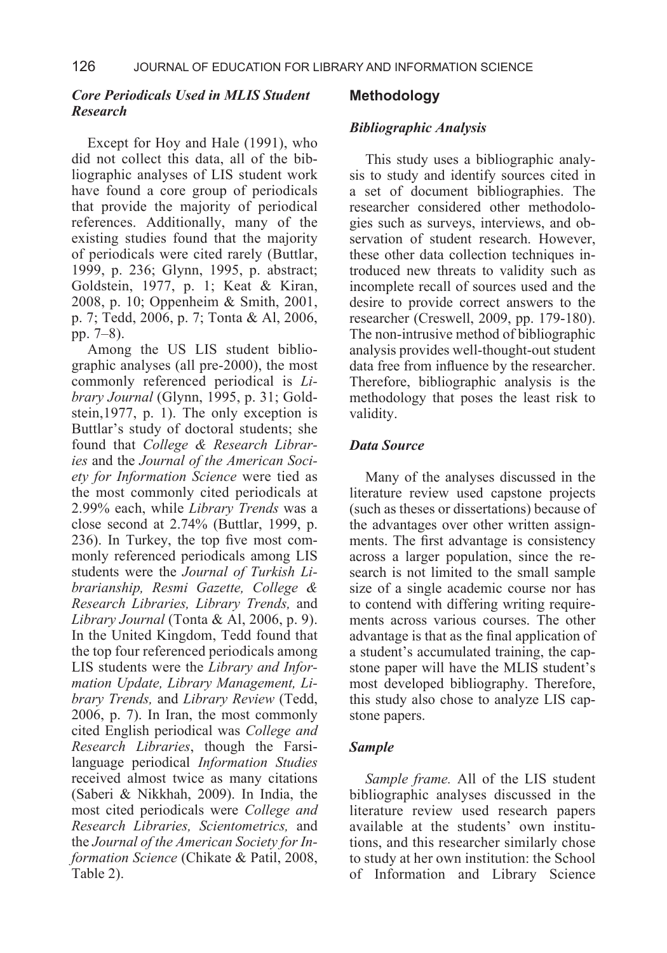#### *Core Periodicals Used in MLIS Student Research*

Except for Hoy and Hale (1991), who did not collect this data, all of the bibliographic analyses of LIS student work have found a core group of periodicals that provide the majority of periodical references. Additionally, many of the existing studies found that the majority of periodicals were cited rarely (Buttlar, 1999, p. 236; Glynn, 1995, p. abstract; Goldstein, 1977, p. 1; Keat & Kiran, 2008, p. 10; Oppenheim & Smith, 2001, p. 7; Tedd, 2006, p. 7; Tonta & Al, 2006, pp. 7–8).

Among the US LIS student bibliographic analyses (all pre-2000), the most commonly referenced periodical is *Library Journal* (Glynn, 1995, p. 31; Goldstein,1977, p. 1). The only exception is Buttlar's study of doctoral students; she found that *College & Research Libraries* and the *Journal of the American Society for Information Science* were tied as the most commonly cited periodicals at 2.99% each, while *Library Trends* was a close second at 2.74% (Buttlar, 1999, p. 236). In Turkey, the top five most commonly referenced periodicals among LIS students were the *Journal of Turkish Librarianship, Resmi Gazette, College & Research Libraries, Library Trends,* and *Library Journal* (Tonta & Al, 2006, p. 9). In the United Kingdom, Tedd found that the top four referenced periodicals among LIS students were the *Library and Information Update, Library Management, Library Trends,* and *Library Review* (Tedd, 2006, p. 7). In Iran, the most commonly cited English periodical was *College and Research Libraries*, though the Farsilanguage periodical *Information Studies*  received almost twice as many citations (Saberi & Nikkhah, 2009). In India, the most cited periodicals were *College and Research Libraries, Scientometrics,* and the *Journal of the American Society for Information Science* (Chikate & Patil, 2008, Table 2).

#### **Methodology**

#### *Bibliographic Analysis*

This study uses a bibliographic analysis to study and identify sources cited in a set of document bibliographies. The researcher considered other methodologies such as surveys, interviews, and observation of student research. However, these other data collection techniques introduced new threats to validity such as incomplete recall of sources used and the desire to provide correct answers to the researcher (Creswell, 2009, pp. 179-180). The non-intrusive method of bibliographic analysis provides well-thought-out student data free from influence by the researcher. Therefore, bibliographic analysis is the methodology that poses the least risk to validity.

#### *Data Source*

Many of the analyses discussed in the literature review used capstone projects (such as theses or dissertations) because of the advantages over other written assignments. The first advantage is consistency across a larger population, since the research is not limited to the small sample size of a single academic course nor has to contend with differing writing requirements across various courses. The other advantage is that as the final application of a student's accumulated training, the capstone paper will have the MLIS student's most developed bibliography. Therefore, this study also chose to analyze LIS capstone papers.

#### *Sample*

*Sample frame.* All of the LIS student bibliographic analyses discussed in the literature review used research papers available at the students' own institutions, and this researcher similarly chose to study at her own institution: the School of Information and Library Science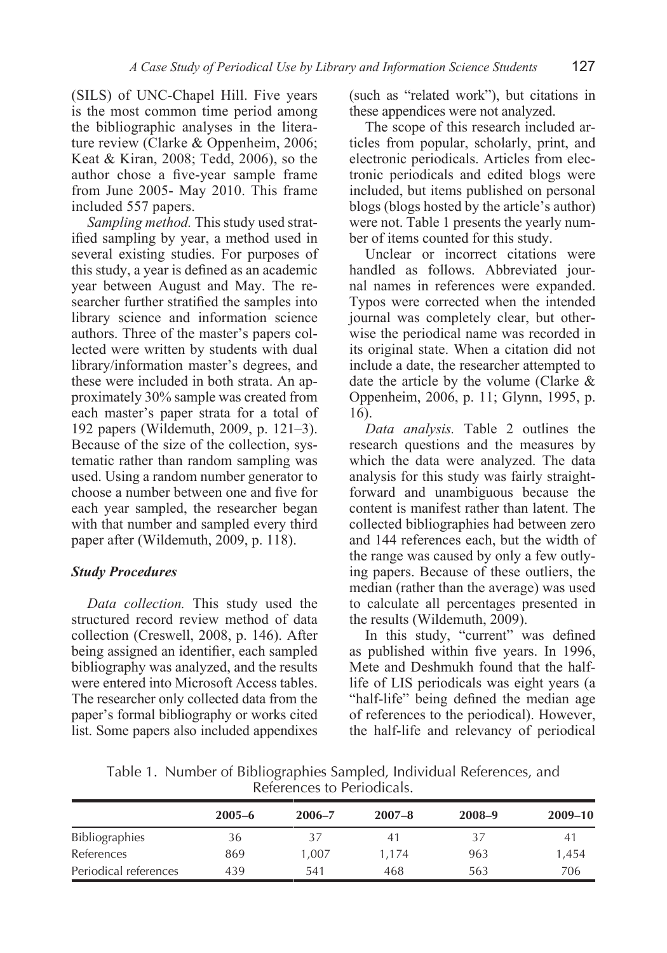(SILS) of UNC-Chapel Hill. Five years is the most common time period among the bibliographic analyses in the literature review (Clarke & Oppenheim, 2006; Keat & Kiran, 2008; Tedd, 2006), so the author chose a five-year sample frame from June 2005- May 2010. This frame included 557 papers.

*Sampling method.* This study used stratified sampling by year, a method used in several existing studies. For purposes of this study, a year is defined as an academic year between August and May. The researcher further stratified the samples into library science and information science authors. Three of the master's papers collected were written by students with dual library/information master's degrees, and these were included in both strata. An approximately 30% sample was created from each master's paper strata for a total of 192 papers (Wildemuth, 2009, p. 121–3). Because of the size of the collection, systematic rather than random sampling was used. Using a random number generator to choose a number between one and five for each year sampled, the researcher began with that number and sampled every third paper after (Wildemuth, 2009, p. 118).

#### *Study Procedures*

*Data collection.* This study used the structured record review method of data collection (Creswell, 2008, p. 146). After being assigned an identifier, each sampled bibliography was analyzed, and the results were entered into Microsoft Access tables. The researcher only collected data from the paper's formal bibliography or works cited list. Some papers also included appendixes

(such as "related work"), but citations in these appendices were not analyzed.

The scope of this research included articles from popular, scholarly, print, and electronic periodicals. Articles from electronic periodicals and edited blogs were included, but items published on personal blogs (blogs hosted by the article's author) were not. Table 1 presents the yearly number of items counted for this study.

Unclear or incorrect citations were handled as follows. Abbreviated journal names in references were expanded. Typos were corrected when the intended journal was completely clear, but otherwise the periodical name was recorded in its original state. When a citation did not include a date, the researcher attempted to date the article by the volume (Clarke & Oppenheim, 2006, p. 11; Glynn, 1995, p. 16).

*Data analysis.* Table 2 outlines the research questions and the measures by which the data were analyzed. The data analysis for this study was fairly straightforward and unambiguous because the content is manifest rather than latent. The collected bibliographies had between zero and 144 references each, but the width of the range was caused by only a few outlying papers. Because of these outliers, the median (rather than the average) was used to calculate all percentages presented in the results (Wildemuth, 2009).

In this study, "current" was defined as published within five years. In 1996, Mete and Deshmukh found that the halflife of LIS periodicals was eight years (a "half-life" being defined the median age of references to the periodical). However, the half-life and relevancy of periodical

| Table 1. Number of Bibliographies Sampled, Individual References, and |
|-----------------------------------------------------------------------|
| References to Periodicals.                                            |

|                       | $2005 - 6$ | $2006 - 7$ | $2007 - 8$ | $2008 - 9$ | $2009 - 10$ |
|-----------------------|------------|------------|------------|------------|-------------|
| <b>Bibliographies</b> | 36         | 37         | 41         | 37         | 41          |
| References            | 869        | 1.007      | 1,174      | 963        | 1,454       |
| Periodical references | 439        | 541        | 468        | 563        | 706         |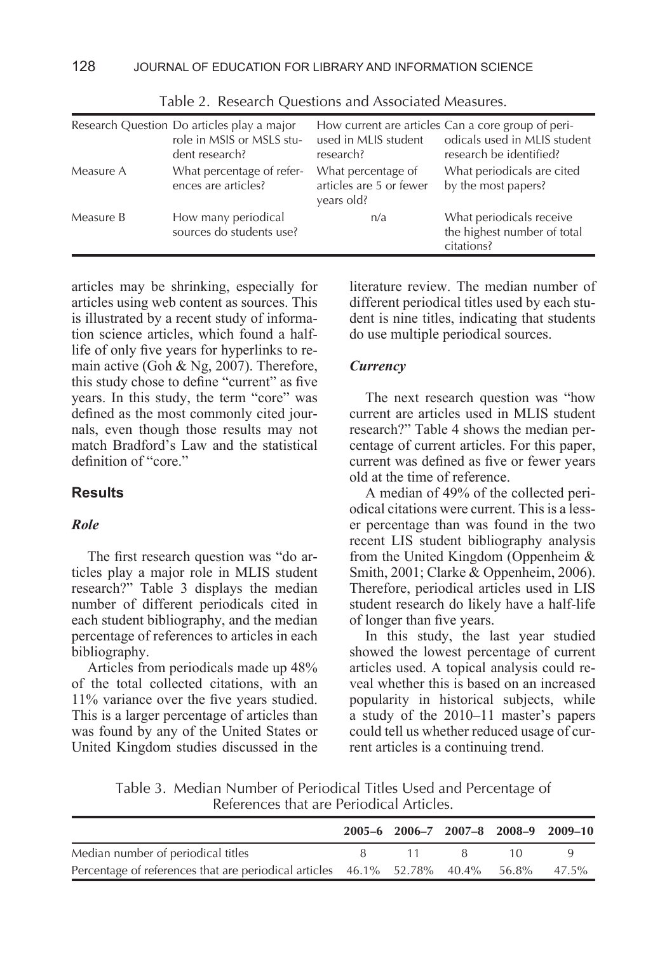|           | Research Question Do articles play a major<br>role in MSIS or MSLS stu-<br>dent research? | used in MLIS student<br>research?                           | How current are articles Can a core group of peri-<br>odicals used in MLIS student<br>research be identified? |
|-----------|-------------------------------------------------------------------------------------------|-------------------------------------------------------------|---------------------------------------------------------------------------------------------------------------|
| Measure A | What percentage of refer-<br>ences are articles?                                          | What percentage of<br>articles are 5 or fewer<br>years old? | What periodicals are cited<br>by the most papers?                                                             |
| Measure B | How many periodical<br>sources do students use?                                           | n/a                                                         | What periodicals receive<br>the highest number of total<br>citations?                                         |

Table 2. Research Questions and Associated Measures.

articles may be shrinking, especially for articles using web content as sources. This is illustrated by a recent study of information science articles, which found a halflife of only five years for hyperlinks to remain active (Goh & Ng, 2007). Therefore, this study chose to define "current" as five years. In this study, the term "core" was defined as the most commonly cited journals, even though those results may not match Bradford's Law and the statistical definition of "core."

#### **Results**

#### *Role*

The first research question was "do articles play a major role in MLIS student research?" Table 3 displays the median number of different periodicals cited in each student bibliography, and the median percentage of references to articles in each bibliography.

Articles from periodicals made up 48% of the total collected citations, with an 11% variance over the five years studied. This is a larger percentage of articles than was found by any of the United States or United Kingdom studies discussed in the literature review. The median number of different periodical titles used by each student is nine titles, indicating that students do use multiple periodical sources.

#### *Currency*

The next research question was "how current are articles used in MLIS student research?" Table 4 shows the median percentage of current articles. For this paper, current was defined as five or fewer years old at the time of reference.

A median of 49% of the collected periodical citations were current. This is a lesser percentage than was found in the two recent LIS student bibliography analysis from the United Kingdom (Oppenheim & Smith, 2001; Clarke & Oppenheim, 2006). Therefore, periodical articles used in LIS student research do likely have a half-life of longer than five years.

In this study, the last year studied showed the lowest percentage of current articles used. A topical analysis could reveal whether this is based on an increased popularity in historical subjects, while a study of the 2010–11 master's papers could tell us whether reduced usage of current articles is a continuing trend.

Table 3. Median Number of Periodical Titles Used and Percentage of References that are Periodical Articles.

|                                                                                      |  |                            |        | 2005-6 2006-7 2007-8 2008-9 2009-10 |
|--------------------------------------------------------------------------------------|--|----------------------------|--------|-------------------------------------|
| Median number of periodical titles                                                   |  | $\mathbf{11}$ $\mathbf{8}$ | $\Box$ |                                     |
| Percentage of references that are periodical articles 46.1% 52.78% 40.4% 56.8% 47.5% |  |                            |        |                                     |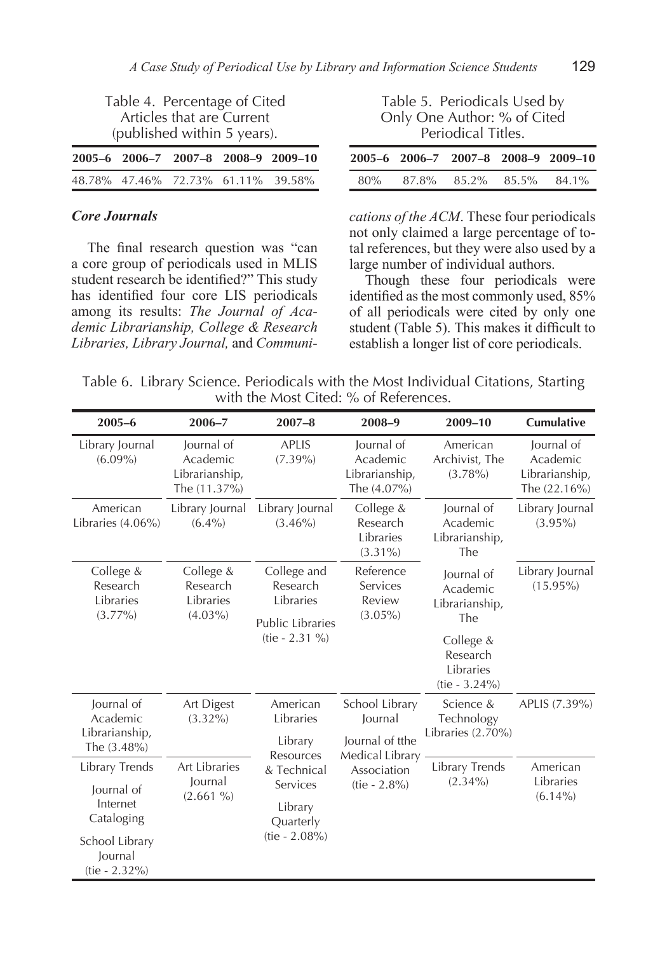| Table 4. Percentage of Cited<br>Articles that are Current<br>(published within 5 years). | Table 5. Periodicals Used by<br>Only One Author: % of Cited<br>Periodical Titles. |
|------------------------------------------------------------------------------------------|-----------------------------------------------------------------------------------|
| 2005-6 2006-7 2007-8 2008-9 2009-10                                                      | 2005-6 2006-7 2007-8 2008-9 2009-10                                               |
| 48.78% 47.46% 72.73% 61.11% 39.58%                                                       | 87.8% 85.2% 85.5% 84.1%<br>80%                                                    |

#### *Core Journals*

The final research question was "can a core group of periodicals used in MLIS student research be identified?" This study has identified four core LIS periodicals among its results: *The Journal of Academic Librarianship, College & Research Libraries, Library Journal,* and *Communi-*

*cations of the ACM*. These four periodicals not only claimed a large percentage of total references, but they were also used by a large number of individual authors.

Though these four periodicals were identified as the most commonly used, 85% of all periodicals were cited by only one student (Table 5). This makes it difficult to establish a longer list of core periodicals.

|  |                                       |  | Table 6. Library Science. Periodicals with the Most Individual Citations, Starting |  |
|--|---------------------------------------|--|------------------------------------------------------------------------------------|--|
|  | with the Most Cited: % of References. |  |                                                                                    |  |

| $2005 - 6$                                                 | $2006 - 7$                                               | $2007 - 8$                                                      | 2008-9                                                          | 2009-10                                                | <b>Cumulative</b>                                          |
|------------------------------------------------------------|----------------------------------------------------------|-----------------------------------------------------------------|-----------------------------------------------------------------|--------------------------------------------------------|------------------------------------------------------------|
| Library Journal<br>$(6.09\%)$                              | Journal of<br>Academic<br>Librarianship,<br>The (11.37%) | <b>APLIS</b><br>$(7.39\%)$                                      | lournal of<br>Academic<br>Librarianship,<br>The $(4.07\%)$      | American<br>Archivist, The<br>$(3.78\%)$               | lournal of<br>Academic<br>Librarianship,<br>The $(22.16%)$ |
| American<br>Libraries $(4.06\%)$                           | Library Journal<br>$(6.4\%)$                             | Library Journal<br>$(3.46\%)$                                   | College &<br>Research<br>Libraries<br>$(3.31\%)$                | Journal of<br>Academic<br>Librarianship,<br>The        | Library Journal<br>$(3.95\%)$                              |
| College &<br>Research<br>Libraries<br>$(3.77\%)$           | College &<br>Research<br>Libraries<br>$(4.03\%)$         | College and<br>Research<br>Libraries<br><b>Public Libraries</b> | Reference<br>Services<br>Review<br>$(3.05\%)$                   | Journal of<br>Academic<br>Librarianship,<br>The        | Library Journal<br>$(15.95\%)$                             |
|                                                            |                                                          |                                                                 |                                                                 | College &<br>Research<br>Libraries<br>$(tie - 3.24\%)$ |                                                            |
| Journal of<br>Academic<br>Librarianship,<br>The $(3.48\%)$ | Art Digest<br>$(3.32\%)$                                 | American<br>Libraries<br>Library<br>Resources                   | School Library<br>Journal<br>Journal of tthe<br>Medical Library | Science &<br>Technology<br>Libraries $(2.70\%)$        | APLIS (7.39%)                                              |
| Library Trends                                             | <b>Art Libraries</b>                                     | & Technical                                                     | Association                                                     | Library Trends                                         | American                                                   |
| Journal of<br>Internet<br>Cataloging                       | lournal<br>$(2.661\%)$                                   | Services<br>Library<br>Quarterly                                | $(tie - 2.8\%)$                                                 | $(2.34\%)$                                             | Libraries<br>$(6.14\%)$                                    |
| School Library<br>Journal<br>$(tie - 2.32\%)$              |                                                          | $(tie - 2.08%)$                                                 |                                                                 |                                                        |                                                            |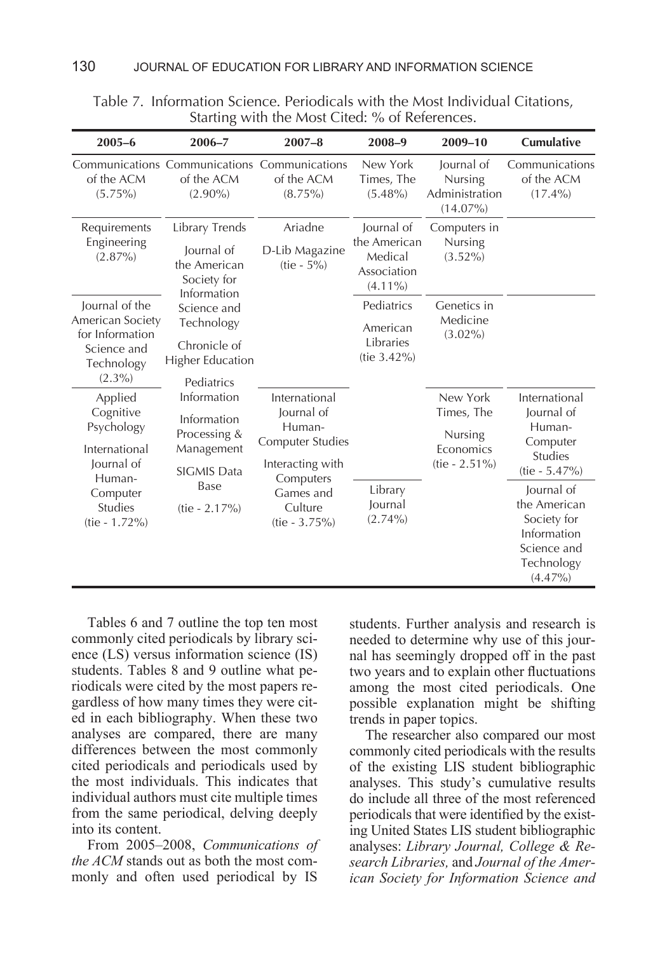| $2005 - 6$                                                                                                                    | $2006 - 7$                                                                                                              | $2007 - 8$                                                                                                                                   | $2008 - 9$                                                         | 2009-10                                                            | Cumulative                                                                                                                                                        |
|-------------------------------------------------------------------------------------------------------------------------------|-------------------------------------------------------------------------------------------------------------------------|----------------------------------------------------------------------------------------------------------------------------------------------|--------------------------------------------------------------------|--------------------------------------------------------------------|-------------------------------------------------------------------------------------------------------------------------------------------------------------------|
| of the ACM<br>$(5.75\%)$                                                                                                      | Communications Communications Communications<br>of the ACM<br>$(2.90\%)$                                                | of the ACM<br>$(8.75\%)$                                                                                                                     | New York<br>Times, The<br>$(5.48\%)$                               | Journal of<br>Nursing<br>Administration<br>$(14.07\%)$             | Communications<br>of the ACM<br>$(17.4\%)$                                                                                                                        |
| Requirements<br>Engineering<br>$(2.87\%)$                                                                                     | Library Trends<br>Journal of<br>the American<br>Society for<br>Information                                              | Ariadne<br>D-Lib Magazine<br>$(tie - 5%)$                                                                                                    | Journal of<br>the American<br>Medical<br>Association<br>$(4.11\%)$ | Computers in<br><b>Nursing</b><br>$(3.52\%)$                       |                                                                                                                                                                   |
| lournal of the<br>American Society<br>for Information<br>Science and<br>Technology<br>$(2.3\%)$                               | Science and<br>Technology<br>Chronicle of<br>Higher Education                                                           |                                                                                                                                              | Pediatrics<br>American<br>Libraries<br>(tie $3.42\%$ )             | Genetics in<br>Medicine<br>$(3.02\%)$                              |                                                                                                                                                                   |
| Applied<br>Cognitive<br>Psychology<br>International<br>Journal of<br>Human-<br>Computer<br><b>Studies</b><br>$(tie - 1.72\%)$ | Pediatrics<br>Information<br>Information<br>Processing &<br>Management<br><b>SIGMIS Data</b><br>Base<br>$(tie - 2.17%)$ | International<br>Journal of<br>Human-<br><b>Computer Studies</b><br>Interacting with<br>Computers<br>Games and<br>Culture<br>$(tie - 3.75%)$ | Library<br>Journal<br>$(2.74\%)$                                   | New York<br>Times, The<br>Nursing<br>Economics<br>$(tie - 2.51\%)$ | International<br>Journal of<br>Human-<br>Computer<br><b>Studies</b><br>$(tie - 5.47%)$<br>lournal of<br>the American<br>Society for<br>Information<br>Science and |
|                                                                                                                               |                                                                                                                         |                                                                                                                                              |                                                                    |                                                                    | Technology<br>$(4.47\%)$                                                                                                                                          |

Table 7. Information Science. Periodicals with the Most Individual Citations, Starting with the Most Cited: % of References.

Tables 6 and 7 outline the top ten most commonly cited periodicals by library science (LS) versus information science (IS) students. Tables 8 and 9 outline what periodicals were cited by the most papers regardless of how many times they were cited in each bibliography. When these two analyses are compared, there are many differences between the most commonly cited periodicals and periodicals used by the most individuals. This indicates that individual authors must cite multiple times from the same periodical, delving deeply into its content.

From 2005–2008, *Communications of the ACM* stands out as both the most commonly and often used periodical by IS

students. Further analysis and research is needed to determine why use of this journal has seemingly dropped off in the past two years and to explain other fluctuations among the most cited periodicals. One possible explanation might be shifting trends in paper topics.

The researcher also compared our most commonly cited periodicals with the results of the existing LIS student bibliographic analyses. This study's cumulative results do include all three of the most referenced periodicals that were identified by the existing United States LIS student bibliographic analyses: *Library Journal, College & Research Libraries,* and *Journal of the American Society for Information Science and*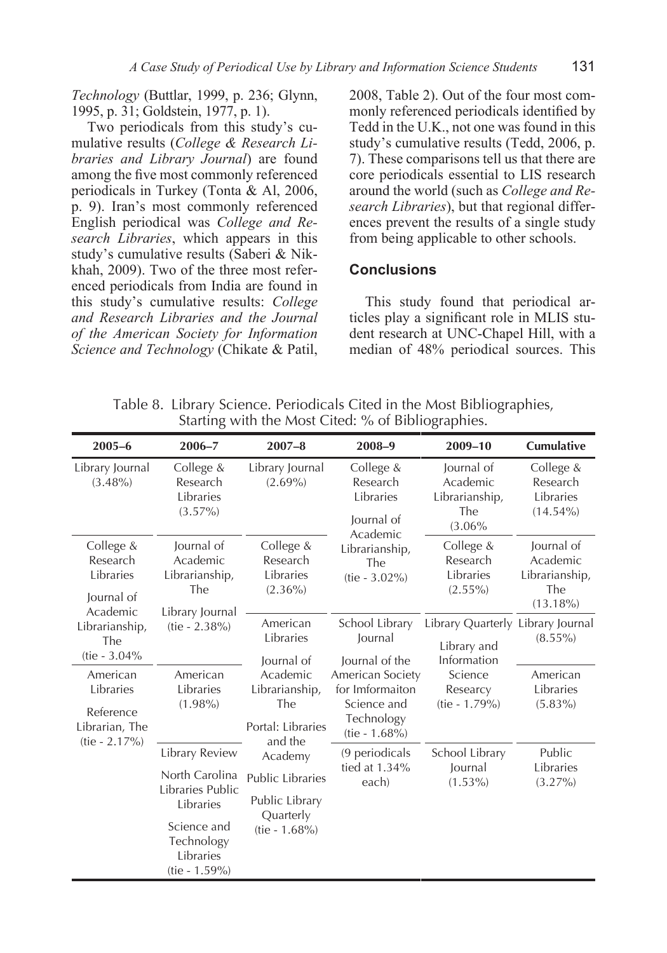*Technology* (Buttlar, 1999, p. 236; Glynn, 1995, p. 31; Goldstein, 1977, p. 1).

Two periodicals from this study's cumulative results (*College & Research Libraries and Library Journal*) are found among the five most commonly referenced periodicals in Turkey (Tonta & Al, 2006, p. 9). Iran's most commonly referenced English periodical was *College and Research Libraries*, which appears in this study's cumulative results (Saberi & Nikkhah, 2009). Two of the three most referenced periodicals from India are found in this study's cumulative results: *College and Research Libraries and the Journal of the American Society for Information Science and Technology* (Chikate & Patil,

2008, Table 2). Out of the four most commonly referenced periodicals identified by Tedd in the U.K., not one was found in this study's cumulative results (Tedd, 2006, p. 7). These comparisons tell us that there are core periodicals essential to LIS research around the world (such as *College and Research Libraries*), but that regional differences prevent the results of a single study from being applicable to other schools.

#### **Conclusions**

This study found that periodical articles play a significant role in MLIS student research at UNC-Chapel Hill, with a median of 48% periodical sources. This

Table 8. Library Science. Periodicals Cited in the Most Bibliographies, Starting with the Most Cited: % of Bibliographies.

| $2005 - 6$                                                   | $2006 - 7$                                                                                                                   | $2007 - 8$                                                                                      | $2008 - 9$                                                   | 2009-10                                                                             | Cumulative                                                     |                                     |
|--------------------------------------------------------------|------------------------------------------------------------------------------------------------------------------------------|-------------------------------------------------------------------------------------------------|--------------------------------------------------------------|-------------------------------------------------------------------------------------|----------------------------------------------------------------|-------------------------------------|
| Library Journal<br>$(3.48\%)$                                | College &<br>Research<br>Libraries<br>$(3.57\%)$                                                                             | Library Journal<br>$(2.69\%)$                                                                   | College &<br>Research<br>Libraries<br>Journal of<br>Academic | Journal of<br>Academic<br>Librarianship,<br>The<br>(3.06%                           | College &<br>Research<br>Libraries<br>$(14.54\%)$              |                                     |
| College &<br>Research<br>Libraries<br>Journal of<br>Academic | Journal of<br>Academic<br>Librarianship,<br>The<br>Library Journal                                                           | College &<br>Research<br>Libraries<br>$(2.36\%)$                                                | Librarianship,<br>The<br>$(tie - 3.02\%)$                    | College &<br>Research<br>Libraries<br>$(2.55\%)$                                    | Journal of<br>Academic<br>Librarianship,<br>The<br>$(13.18\%)$ |                                     |
| Librarianship,<br>The<br>(tie - 3.04%                        | $(tie - 2.38%)$                                                                                                              | American<br>Libraries<br>Journal of                                                             | School Library<br>Journal<br>Journal of the                  | Library Quarterly Library Journal<br>Library and<br>Information                     | $(8.55\%)$                                                     |                                     |
| American<br>Libraries<br>Reference<br>Librarian, The         | American<br>Libraries<br>$(1.98\%)$                                                                                          | Academic<br>Librarianship,<br>The<br>Portal: Libraries                                          |                                                              | American Society<br>for Imformaiton<br>Science and<br>Technology<br>$(tie - 1.68%)$ | Science<br>Researcy<br>(tie - 1.79%)                           | American<br>Libraries<br>$(5.83\%)$ |
| $(tie - 2.17%)$                                              | Library Review<br>North Carolina<br>Libraries Public<br>Libraries<br>Science and<br>Technology<br>Libraries<br>(tie - 1.59%) | and the<br>Academy<br><b>Public Libraries</b><br>Public Library<br>Quarterly<br>$(tie - 1.68%)$ | (9 periodicals<br>tied at $1.34\%$<br>each)                  | School Library<br>Journal<br>$(1.53\%)$                                             | Public<br>Libraries<br>$(3.27\%)$                              |                                     |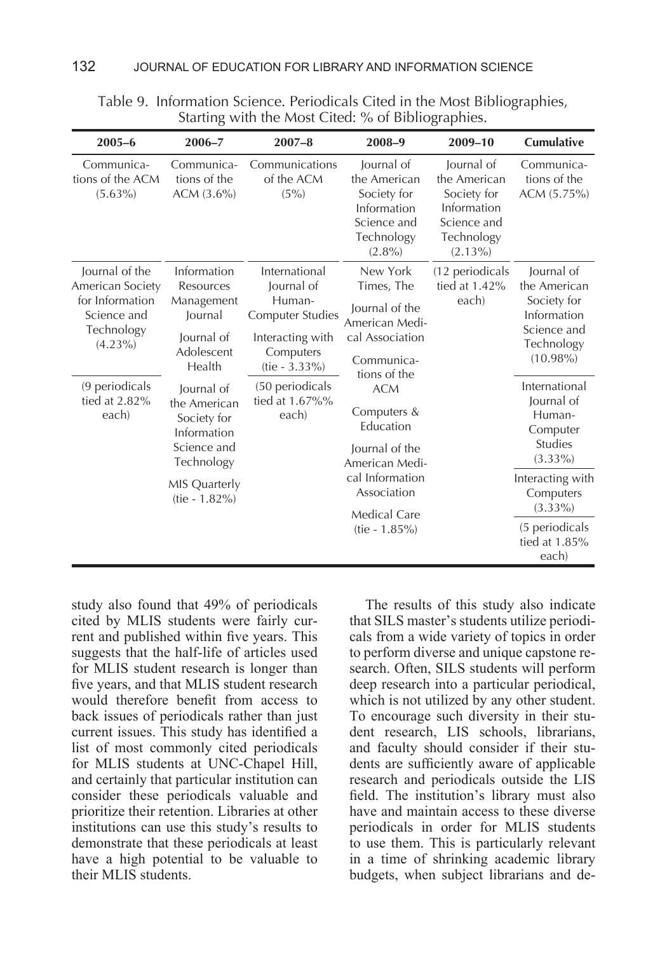|                                                       | ີ                                           |                                                                                                                                                                                                                                        |                                                                                                                                                                               |                                                                                                     |                                                         |  |
|-------------------------------------------------------|---------------------------------------------|----------------------------------------------------------------------------------------------------------------------------------------------------------------------------------------------------------------------------------------|-------------------------------------------------------------------------------------------------------------------------------------------------------------------------------|-----------------------------------------------------------------------------------------------------|---------------------------------------------------------|--|
| $2005 - 6$                                            | $2006 - 7$                                  | $2007 - 8$                                                                                                                                                                                                                             | $2008 - 9$                                                                                                                                                                    | $2009 - 10$                                                                                         | <b>Cumulative</b>                                       |  |
| Communica-<br>tions of the ACM<br>$(5.63\%)$          | Communica-<br>tions of the<br>$ACM (3.6\%)$ | Communications<br>of the ACM<br>(5%)                                                                                                                                                                                                   | lournal of<br>the American<br>Society for<br>Information<br>Science and<br>Technology<br>$(2.8\%)$                                                                            | lournal of<br>the American<br>Society for<br>Information<br>Science and<br>Technology<br>$(2.13\%)$ | Communica-<br>tions of the<br>ACM (5.75%)               |  |
| Journal of the<br>American Society<br>for Information | Information<br>Resources<br>Management      | International<br>Journal of<br>Human-                                                                                                                                                                                                  | New York<br>Times, The                                                                                                                                                        | (12 periodicals<br>tied at $1.42\%$<br>each)                                                        | lournal of<br>the American<br>Society for               |  |
| Science and                                           | Journal                                     | <b>Computer Studies</b>                                                                                                                                                                                                                | Journal of the<br>American Medi-                                                                                                                                              |                                                                                                     | Information<br>Science and<br>Technology<br>$(10.98\%)$ |  |
| Technology<br>$(4.23\%)$                              | Journal of<br>Adolescent                    | Interacting with<br>Computers<br>Health<br>$(tie - 3.33%)$<br>(50 periodicals<br>Journal of<br>tied at 1.67%%<br>the American<br>each)<br>Society for<br>Information<br>Science and<br>Technology<br>MIS Quarterly<br>$(tie - 1.82\%)$ | cal Association<br>Communica-<br>tions of the<br><b>ACM</b><br>Computers &<br>Education<br>Journal of the<br>American Medi-<br>cal Information<br>Association<br>Medical Care |                                                                                                     |                                                         |  |
|                                                       |                                             |                                                                                                                                                                                                                                        |                                                                                                                                                                               |                                                                                                     |                                                         |  |
| (9 periodicals                                        |                                             |                                                                                                                                                                                                                                        |                                                                                                                                                                               |                                                                                                     | International                                           |  |
| tied at 2.82%<br>each)                                |                                             |                                                                                                                                                                                                                                        |                                                                                                                                                                               |                                                                                                     | Journal of<br>Human-                                    |  |
|                                                       |                                             |                                                                                                                                                                                                                                        |                                                                                                                                                                               |                                                                                                     | Computer                                                |  |
|                                                       |                                             |                                                                                                                                                                                                                                        |                                                                                                                                                                               |                                                                                                     | <b>Studies</b><br>$(3.33\%)$                            |  |
|                                                       |                                             |                                                                                                                                                                                                                                        |                                                                                                                                                                               |                                                                                                     | Interacting with<br>Computers                           |  |
|                                                       |                                             |                                                                                                                                                                                                                                        |                                                                                                                                                                               |                                                                                                     | $(3.33\%)$                                              |  |
|                                                       |                                             |                                                                                                                                                                                                                                        | $(tie - 1.85%)$                                                                                                                                                               |                                                                                                     | (5 periodicals<br>tied at $1.85%$<br>each)              |  |

Table 9. Information Science. Periodicals Cited in the Most Bibliographies, Starting with the Most Cited: % of Bibliographies.

study also found that 49% of periodicals cited by MLIS students were fairly current and published within five years. This suggests that the half-life of articles used for MLIS student research is longer than five years, and that MLIS student research would therefore benefit from access to back issues of periodicals rather than just current issues. This study has identified a list of most commonly cited periodicals for MLIS students at UNC-Chapel Hill, and certainly that particular institution can consider these periodicals valuable and prioritize their retention. Libraries at other institutions can use this study's results to demonstrate that these periodicals at least have a high potential to be valuable to their MLIS students.

The results of this study also indicate that SILS master's students utilize periodicals from a wide variety of topics in order to perform diverse and unique capstone research. Often, SILS students will perform deep research into a particular periodical, which is not utilized by any other student. To encourage such diversity in their student research, LIS schools, librarians, and faculty should consider if their students are sufficiently aware of applicable research and periodicals outside the LIS field. The institution's library must also have and maintain access to these diverse periodicals in order for MLIS students to use them. This is particularly relevant in a time of shrinking academic library budgets, when subject librarians and de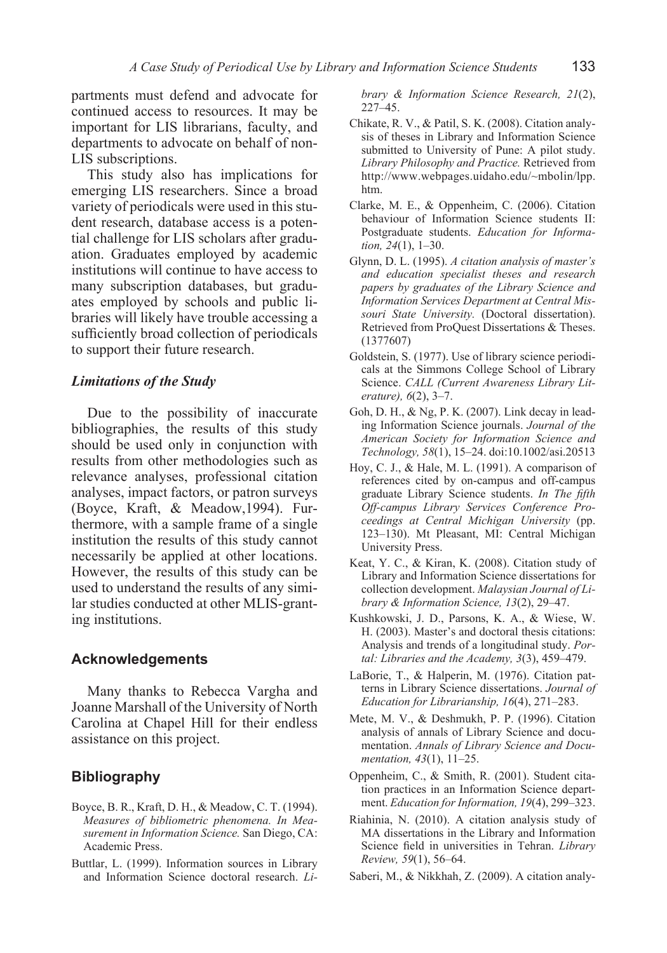partments must defend and advocate for continued access to resources. It may be important for LIS librarians, faculty, and departments to advocate on behalf of non-LIS subscriptions.

This study also has implications for emerging LIS researchers. Since a broad variety of periodicals were used in this student research, database access is a potential challenge for LIS scholars after graduation. Graduates employed by academic institutions will continue to have access to many subscription databases, but graduates employed by schools and public libraries will likely have trouble accessing a sufficiently broad collection of periodicals to support their future research.

#### *Limitations of the Study*

Due to the possibility of inaccurate bibliographies, the results of this study should be used only in conjunction with results from other methodologies such as relevance analyses, professional citation analyses, impact factors, or patron surveys (Boyce, Kraft, & Meadow,1994). Furthermore, with a sample frame of a single institution the results of this study cannot necessarily be applied at other locations. However, the results of this study can be used to understand the results of any similar studies conducted at other MLIS-granting institutions.

#### **Acknowledgements**

Many thanks to Rebecca Vargha and Joanne Marshall of the University of North Carolina at Chapel Hill for their endless assistance on this project.

#### **Bibliography**

- Boyce, B. R., Kraft, D. H., & Meadow, C. T. (1994). *Measures of bibliometric phenomena. In Measurement in Information Science.* San Diego, CA: Academic Press.
- Buttlar, L. (1999). Information sources in Library and Information Science doctoral research. *Li-*

*brary & Information Science Research, 21*(2), 227–45.

- Chikate, R. V., & Patil, S. K. (2008). Citation analysis of theses in Library and Information Science submitted to University of Pune: A pilot study. *Library Philosophy and Practice.* Retrieved from http://www.webpages.uidaho.edu/~mbolin/lpp. htm.
- Clarke, M. E., & Oppenheim, C. (2006). Citation behaviour of Information Science students II: Postgraduate students. *Education for Information, 24*(1), 1–30.
- Glynn, D. L. (1995). *A citation analysis of master's and education specialist theses and research papers by graduates of the Library Science and Information Services Department at Central Missouri State University.* (Doctoral dissertation). Retrieved from ProQuest Dissertations & Theses. (1377607)
- Goldstein, S. (1977). Use of library science periodicals at the Simmons College School of Library Science. *CALL (Current Awareness Library Literature), 6*(2), 3–7.
- Goh, D. H., & Ng, P. K. (2007). Link decay in leading Information Science journals. *Journal of the American Society for Information Science and Technology, 58*(1), 15–24. doi:10.1002/asi.20513
- Hoy, C. J., & Hale, M. L. (1991). A comparison of references cited by on-campus and off-campus graduate Library Science students. *In The fifth Off-campus Library Services Conference Proceedings at Central Michigan University* (pp. 123–130). Mt Pleasant, MI: Central Michigan University Press.
- Keat, Y. C., & Kiran, K. (2008). Citation study of Library and Information Science dissertations for collection development. *Malaysian Journal of Library & Information Science, 13*(2), 29–47.
- Kushkowski, J. D., Parsons, K. A., & Wiese, W. H. (2003). Master's and doctoral thesis citations: Analysis and trends of a longitudinal study. *Portal: Libraries and the Academy, 3*(3), 459–479.
- LaBorie, T., & Halperin, M. (1976). Citation patterns in Library Science dissertations. *Journal of Education for Librarianship, 16*(4), 271–283.
- Mete, M. V., & Deshmukh, P. P. (1996). Citation analysis of annals of Library Science and documentation. *Annals of Library Science and Documentation, 43*(1), 11–25.
- Oppenheim, C., & Smith, R. (2001). Student citation practices in an Information Science department. *Education for Information, 19*(4), 299–323.
- Riahinia, N. (2010). A citation analysis study of MA dissertations in the Library and Information Science field in universities in Tehran. *Library Review, 59*(1), 56–64.
- Saberi, M., & Nikkhah, Z. (2009). A citation analy-